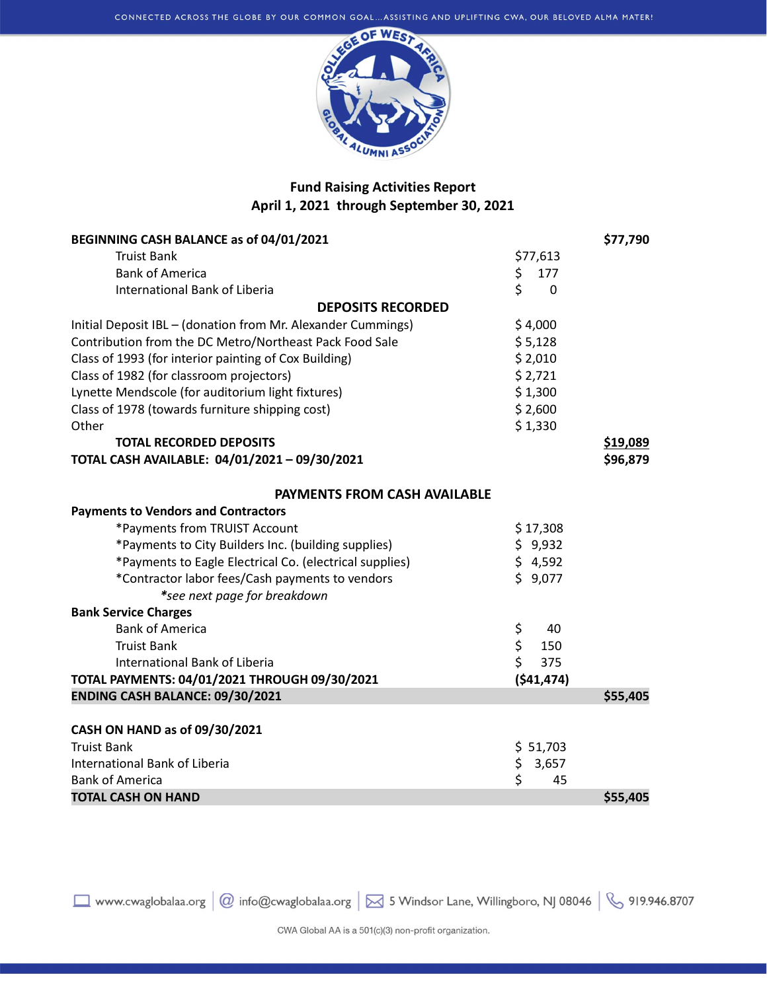

## Fund Raising Activities Report April 1, 2021 through September 30, 2021

| BEGINNING CASH BALANCE as of 04/01/2021                      |                    | \$77,790 |
|--------------------------------------------------------------|--------------------|----------|
| <b>Truist Bank</b>                                           | \$77,613           |          |
| <b>Bank of America</b>                                       | \$<br>177          |          |
| <b>International Bank of Liberia</b>                         | \$<br>$\mathbf{0}$ |          |
| <b>DEPOSITS RECORDED</b>                                     |                    |          |
| Initial Deposit IBL - (donation from Mr. Alexander Cummings) | \$4,000            |          |
| Contribution from the DC Metro/Northeast Pack Food Sale      | \$5,128            |          |
| Class of 1993 (for interior painting of Cox Building)        | \$2,010            |          |
| Class of 1982 (for classroom projectors)                     | \$2,721            |          |
| Lynette Mendscole (for auditorium light fixtures)            | \$1,300            |          |
| Class of 1978 (towards furniture shipping cost)              | \$2,600            |          |
| Other                                                        | \$1,330            |          |
| <b>TOTAL RECORDED DEPOSITS</b>                               |                    | \$19,089 |
| TOTAL CASH AVAILABLE: 04/01/2021 - 09/30/2021                |                    | \$96,879 |
| <b>PAYMENTS FROM CASH AVAILABLE</b>                          |                    |          |
| <b>Payments to Vendors and Contractors</b>                   |                    |          |
| *Payments from TRUIST Account                                | \$17,308           |          |
| *Payments to City Builders Inc. (building supplies)          | \$9,932            |          |
| *Payments to Eagle Electrical Co. (electrical supplies)      | \$4,592            |          |
| *Contractor labor fees/Cash payments to vendors              | \$9,077            |          |
| *see next page for breakdown                                 |                    |          |
| <b>Bank Service Charges</b>                                  |                    |          |
| <b>Bank of America</b>                                       | \$<br>40           |          |
| <b>Truist Bank</b>                                           | \$<br>150          |          |
| International Bank of Liberia                                | \$<br>375          |          |
| TOTAL PAYMENTS: 04/01/2021 THROUGH 09/30/2021                | (541, 474)         |          |
| ENDING CASH BALANCE: 09/30/2021                              |                    | \$55,405 |
|                                                              |                    |          |
| CASH ON HAND as of 09/30/2021                                |                    |          |
| <b>Truist Bank</b>                                           | \$ 51,703          |          |
| International Bank of Liberia                                | \$<br>3,657        |          |
| <b>Bank of America</b>                                       | \$<br>45           |          |
| <b>TOTAL CASH ON HAND</b>                                    |                    | \$55,405 |

□ www.cwaglobalaa.org | @ info@cwaglobalaa.org | ⊠ 5 Windsor Lane, Willingboro, NJ 08046 | & 919.946.8707

CWA Global AA is a 501(c)(3) non-profit organization.